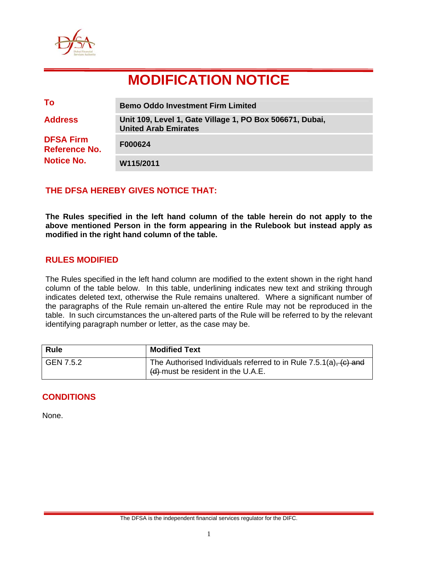

# **MODIFICATION NOTICE**

| To                                | <b>Bemo Oddo Investment Firm Limited</b>                                                |
|-----------------------------------|-----------------------------------------------------------------------------------------|
| <b>Address</b>                    | Unit 109, Level 1, Gate Village 1, PO Box 506671, Dubai,<br><b>United Arab Emirates</b> |
| <b>DFSA Firm</b><br>Reference No. | F000624                                                                                 |
| <b>Notice No.</b>                 | W115/2011                                                                               |

## **THE DFSA HEREBY GIVES NOTICE THAT:**

**The Rules specified in the left hand column of the table herein do not apply to the above mentioned Person in the form appearing in the Rulebook but instead apply as modified in the right hand column of the table.** 

#### **RULES MODIFIED**

The Rules specified in the left hand column are modified to the extent shown in the right hand column of the table below. In this table, underlining indicates new text and striking through indicates deleted text, otherwise the Rule remains unaltered. Where a significant number of the paragraphs of the Rule remain un-altered the entire Rule may not be reproduced in the table. In such circumstances the un-altered parts of the Rule will be referred to by the relevant identifying paragraph number or letter, as the case may be.

| <b>Rule</b> | <b>Modified Text</b>                                                                                        |
|-------------|-------------------------------------------------------------------------------------------------------------|
| GEN 7.5.2   | The Authorised Individuals referred to in Rule $7.5.1(a)$ , $(c)$ and<br>(d) must be resident in the U.A.E. |

## **CONDITIONS**

None.